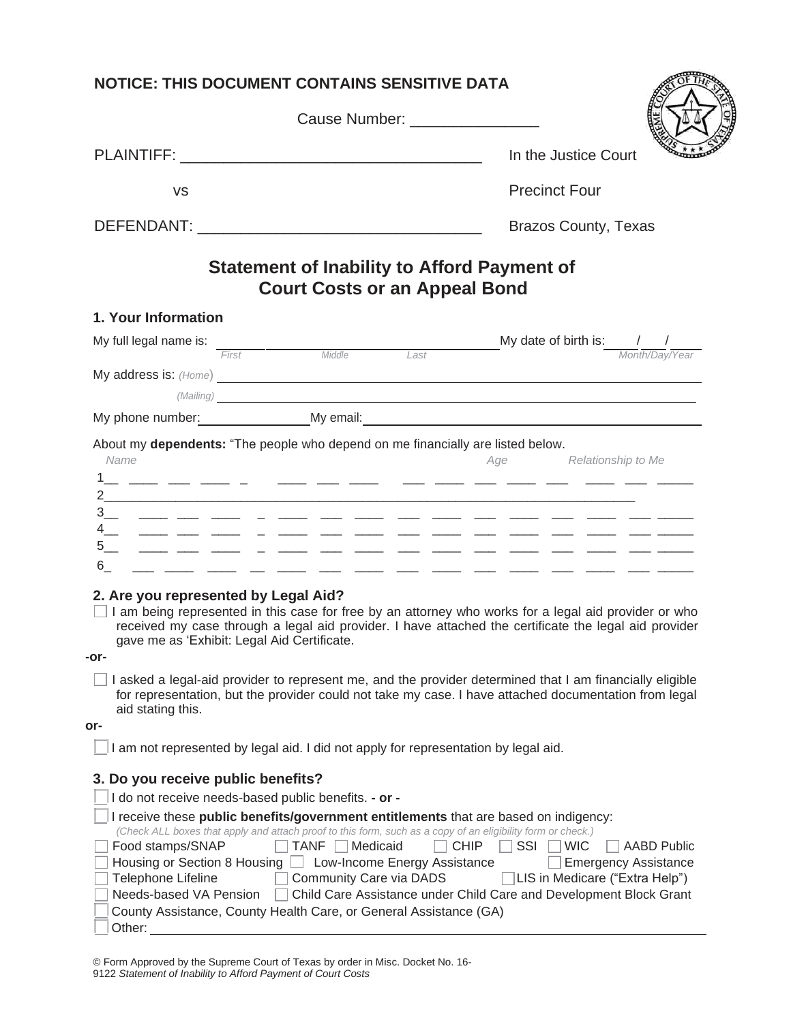| <b>NOTICE: THIS DOCUMENT CONTAINS SENSITIVE DATA</b>                                                                                                                                                                                                                                                                                                                                                                                                                                |                                                                                                                                                                                |
|-------------------------------------------------------------------------------------------------------------------------------------------------------------------------------------------------------------------------------------------------------------------------------------------------------------------------------------------------------------------------------------------------------------------------------------------------------------------------------------|--------------------------------------------------------------------------------------------------------------------------------------------------------------------------------|
| Cause Number: ________________                                                                                                                                                                                                                                                                                                                                                                                                                                                      |                                                                                                                                                                                |
|                                                                                                                                                                                                                                                                                                                                                                                                                                                                                     | In the Justice Court                                                                                                                                                           |
| <b>VS</b>                                                                                                                                                                                                                                                                                                                                                                                                                                                                           | <b>Precinct Four</b>                                                                                                                                                           |
|                                                                                                                                                                                                                                                                                                                                                                                                                                                                                     | <b>Brazos County, Texas</b>                                                                                                                                                    |
| <b>Statement of Inability to Afford Payment of</b><br><b>Court Costs or an Appeal Bond</b>                                                                                                                                                                                                                                                                                                                                                                                          |                                                                                                                                                                                |
| 1. Your Information                                                                                                                                                                                                                                                                                                                                                                                                                                                                 |                                                                                                                                                                                |
| My full legal name is:<br>First Middle Last                                                                                                                                                                                                                                                                                                                                                                                                                                         | My date of birth is: $\frac{1}{\frac{M \text{ on } t \land \text{Day}}{\text{Non}}$                                                                                            |
| My address is: (Home) <b>Superior Contains and Superior</b> Contains and Superior Contains and Superior Contains and Superior Contains and Superior Contains and Superior Contains and Superior Contains and Superior Contains and                                                                                                                                                                                                                                                  |                                                                                                                                                                                |
| (Mailing) and the contract of the contract of the contract of the contract of the contract of the contract of the contract of the contract of the contract of the contract of the contract of the contract of the contract of                                                                                                                                                                                                                                                       |                                                                                                                                                                                |
| My phone number: My email: My email: Night and a metal of the mail: All the mail: All the mail: All the mail: All the mail: All the mail: All the mail: All the mail: All the mail: All the mail: All the mail: All the mail:                                                                                                                                                                                                                                                       |                                                                                                                                                                                |
| About my dependents: "The people who depend on me financially are listed below.<br>Name<br>فسنستخد والمستناء والمستناء والمستناء والمستناء والمستناء والمستناء والمستناء والمستناء والمستناء والمستناء والمستناء<br>فسنست فتنبأ المستدا المسار المستدا المستار المستدا المستدا المستدا المار المستدا المسار المسار المسار<br>6<br><u> 1980 - Andrea Andrew Alexandro Andrew Alexandro Andrew Alexandro Andrew Alexandro Andrew Alexandro Andrew Alex</u>                            | Age Relationship to Me                                                                                                                                                         |
| 2. Are you represented by Legal Aid?<br>I am being represented in this case for free by an attorney who works for a legal aid provider or who<br>received my case through a legal aid provider. I have attached the certificate the legal aid provider<br>gave me as 'Exhibit: Legal Aid Certificate.<br>-or-                                                                                                                                                                       |                                                                                                                                                                                |
| I asked a legal-aid provider to represent me, and the provider determined that I am financially eligible<br>for representation, but the provider could not take my case. I have attached documentation from legal<br>aid stating this.<br>or-                                                                                                                                                                                                                                       |                                                                                                                                                                                |
| I am not represented by legal aid. I did not apply for representation by legal aid.                                                                                                                                                                                                                                                                                                                                                                                                 |                                                                                                                                                                                |
| 3. Do you receive public benefits?                                                                                                                                                                                                                                                                                                                                                                                                                                                  |                                                                                                                                                                                |
| I do not receive needs-based public benefits. - or -                                                                                                                                                                                                                                                                                                                                                                                                                                |                                                                                                                                                                                |
| I receive these public benefits/government entitlements that are based on indigency:<br>(Check ALL boxes that apply and attach proof to this form, such as a copy of an eligibility form or check.)<br>Food stamps/SNAP<br>TANF<br>Medicaid<br><b>CHIP</b><br>Housing or Section 8 Housing   Low-Income Energy Assistance<br>Telephone Lifeline<br>Community Care via DADS<br>Needs-based VA Pension<br>County Assistance, County Health Care, or General Assistance (GA)<br>Other: | SSI<br><b>WIC</b><br><b>AABD Public</b><br><b>Emergency Assistance</b><br>LIS in Medicare ("Extra Help")<br>Child Care Assistance under Child Care and Development Block Grant |

© Form Approved by the Supreme Court of Texas by order in Misc. Docket No. 16- 9122 *Statement of Inability to Afford Payment of Court Costs*